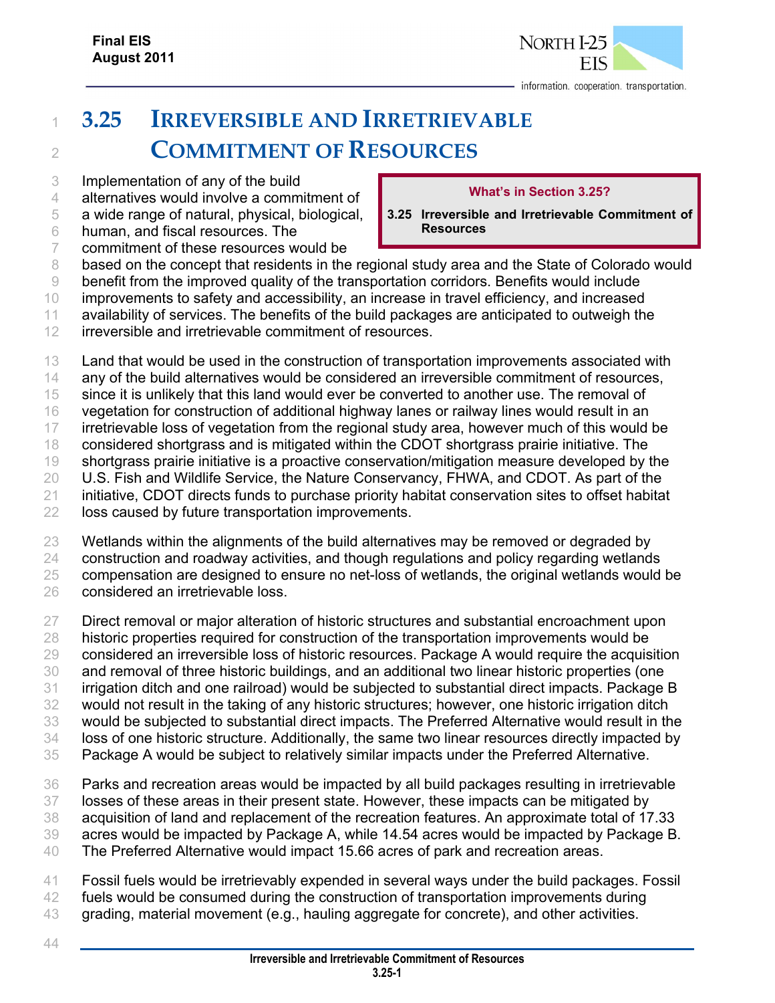

## **3.25 IRREVERSIBLE AND IRRETRIEVABLE COMMITMENT OF RESOURCES**

- Implementation of any of the build
- alternatives would involve a commitment of
- a wide range of natural, physical, biological,
- human, and fiscal resources. The

## **What's in Section 3.25?**

- **3.25 Irreversible and Irretrievable Commitment of Resources**
- commitment of these resources would be
- 8 based on the concept that residents in the regional study area and the State of Colorado would
- benefit from the improved quality of the transportation corridors. Benefits would include
- improvements to safety and accessibility, an increase in travel efficiency, and increased availability of services. The benefits of the build packages are anticipated to outweigh the
- irreversible and irretrievable commitment of resources.
- Land that would be used in the construction of transportation improvements associated with
- 14 any of the build alternatives would be considered an irreversible commitment of resources,
- since it is unlikely that this land would ever be converted to another use. The removal of
- vegetation for construction of additional highway lanes or railway lines would result in an
- 17 irretrievable loss of vegetation from the regional study area, however much of this would be
- considered shortgrass and is mitigated within the CDOT shortgrass prairie initiative. The shortgrass prairie initiative is a proactive conservation/mitigation measure developed by the
- U.S. Fish and Wildlife Service, the Nature Conservancy, FHWA, and CDOT. As part of the
- initiative, CDOT directs funds to purchase priority habitat conservation sites to offset habitat
- loss caused by future transportation improvements.
- Wetlands within the alignments of the build alternatives may be removed or degraded by
- construction and roadway activities, and though regulations and policy regarding wetlands
- compensation are designed to ensure no net-loss of wetlands, the original wetlands would be
- considered an irretrievable loss.
- 27 Direct removal or major alteration of historic structures and substantial encroachment upon 28 historic properties required for construction of the transportation improvements would be considered an irreversible loss of historic resources. Package A would require the acquisition and removal of three historic buildings, and an additional two linear historic properties (one irrigation ditch and one railroad) would be subjected to substantial direct impacts. Package B would not result in the taking of any historic structures; however, one historic irrigation ditch would be subjected to substantial direct impacts. The Preferred Alternative would result in the loss of one historic structure. Additionally, the same two linear resources directly impacted by
- Package A would be subject to relatively similar impacts under the Preferred Alternative.
- Parks and recreation areas would be impacted by all build packages resulting in irretrievable losses of these areas in their present state. However, these impacts can be mitigated by acquisition of land and replacement of the recreation features. An approximate total of 17.33 acres would be impacted by Package A, while 14.54 acres would be impacted by Package B.
- The Preferred Alternative would impact 15.66 acres of park and recreation areas.
- Fossil fuels would be irretrievably expended in several ways under the build packages. Fossil 42 fuels would be consumed during the construction of transportation improvements during
- grading, material movement (e.g., hauling aggregate for concrete), and other activities.